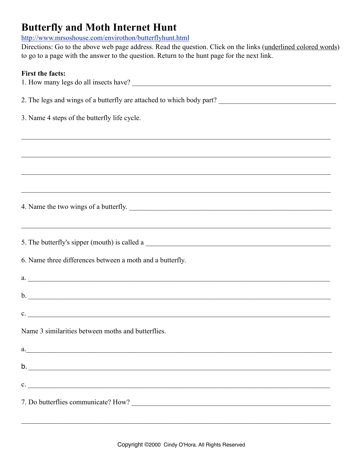# **Butterfly and Moth Internet Hunt**

<http://www.mrsoshouse.com/envirothon/butterflyhunt.html>

Directions: Go to the above web page address. Read the question. Click on the links (underlined colored words) to go to a page with the answer to the question. Return to the hunt page for the next link.

### **First the facts:**

| 1. How many legs do all insects have?                                                 |
|---------------------------------------------------------------------------------------|
| 2. The legs and wings of a butterfly are attached to which body part?                 |
| 3. Name 4 steps of the butterfly life cycle.                                          |
|                                                                                       |
|                                                                                       |
|                                                                                       |
|                                                                                       |
| 4. Name the two wings of a butterfly.                                                 |
|                                                                                       |
| 5. The butterfly's sipper (mouth) is called a                                         |
| 6. Name three differences between a moth and a butterfly.                             |
| a.                                                                                    |
|                                                                                       |
| c.                                                                                    |
| Name 3 similarities between moths and butterflies.                                    |
| a.<br><u> 1989 - Johann John Stein, mars an deus Amerikaansk kommunister (* 1958)</u> |
| b.                                                                                    |
| c.                                                                                    |
|                                                                                       |

 $\mathcal{L}_\mathcal{L} = \{ \mathcal{L}_\mathcal{L} = \{ \mathcal{L}_\mathcal{L} = \{ \mathcal{L}_\mathcal{L} = \{ \mathcal{L}_\mathcal{L} = \{ \mathcal{L}_\mathcal{L} = \{ \mathcal{L}_\mathcal{L} = \{ \mathcal{L}_\mathcal{L} = \{ \mathcal{L}_\mathcal{L} = \{ \mathcal{L}_\mathcal{L} = \{ \mathcal{L}_\mathcal{L} = \{ \mathcal{L}_\mathcal{L} = \{ \mathcal{L}_\mathcal{L} = \{ \mathcal{L}_\mathcal{L} = \{ \mathcal{L}_\mathcal{$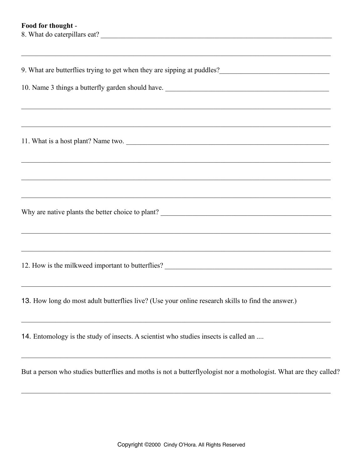## Food for thought -

| 8. What do caterpillars eat?                                                                       |
|----------------------------------------------------------------------------------------------------|
|                                                                                                    |
|                                                                                                    |
| 9. What are butterflies trying to get when they are sipping at puddles?                            |
|                                                                                                    |
| 10. Name 3 things a butterfly garden should have.                                                  |
|                                                                                                    |
|                                                                                                    |
|                                                                                                    |
|                                                                                                    |
| 11. What is a host plant? Name two.                                                                |
|                                                                                                    |
| <u> 1989 - Johann Barn, mars an t-Amerikaansk komponister (* 1989)</u>                             |
|                                                                                                    |
|                                                                                                    |
| <u> 1989 - Johann Stoff, amerikansk politiker (d. 1989)</u>                                        |
|                                                                                                    |
|                                                                                                    |
| <u> 1989 - Johann Stoff, amerikansk politik (f. 1989)</u>                                          |
|                                                                                                    |
|                                                                                                    |
|                                                                                                    |
| 12. How is the milkweed important to butterflies? _______________________________                  |
|                                                                                                    |
|                                                                                                    |
| 13. How long do most adult butterflies live? (Use your online research skills to find the answer.) |
|                                                                                                    |
|                                                                                                    |
| 14. Entomology is the study of insects. A scientist who studies insects is called an               |
|                                                                                                    |
|                                                                                                    |

But a person who studies butterflies and moths is not a butterflyologist nor a mothologist. What are they called?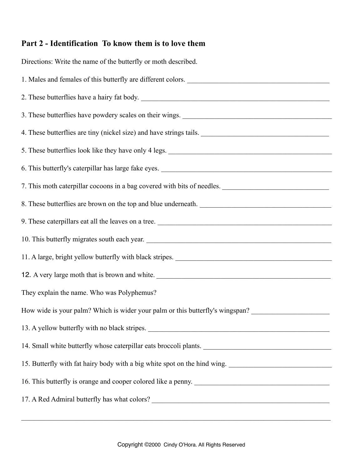# **Part 2 - Identification To know them is to love them**

Directions: Write the name of the butterfly or moth described. 1. Males and females of this butterfly are different colors. 2. These butterflies have a hairy fat body. 3. These butterflies have powdery scales on their wings. 4. These butterflies are tiny (nickel size) and have strings tails. 5. These butterflies look like they have only 4 legs. 6. This butterfly's caterpillar has large fake eyes. 7. This moth caterpillar cocoons in a bag covered with bits of needles. 8. These butterflies are brown on the top and blue underneath. 9. These caterpillars eat all the leaves on a tree. 10. This butterfly migrates south each year. 11. A large, bright yellow butterfly with black stripes. \_\_\_\_\_\_\_\_\_\_\_\_\_\_\_\_\_\_\_\_\_\_\_\_\_\_\_\_\_\_\_\_\_\_\_\_\_\_\_\_\_\_\_\_ 12. A very large moth that is brown and white. They explain the name. Who was Polyphemus? How wide is your palm? Which is wider your palm or this butterfly's wingspan? 13. A yellow butterfly with no black stripes. 14. Small white butterfly whose caterpillar eats broccoli plants. \_\_\_\_\_\_\_\_\_\_\_\_\_\_\_\_\_\_\_\_\_\_\_\_\_\_\_\_\_\_\_\_\_\_\_\_ 15. Butterfly with fat hairy body with a big white spot on the hind wing. 16. This butterfly is orange and cooper colored like a penny. 17. A Red Admiral butterfly has what colors?

 $\mathcal{L}_\mathcal{L} = \{ \mathcal{L}_\mathcal{L} = \{ \mathcal{L}_\mathcal{L} = \{ \mathcal{L}_\mathcal{L} = \{ \mathcal{L}_\mathcal{L} = \{ \mathcal{L}_\mathcal{L} = \{ \mathcal{L}_\mathcal{L} = \{ \mathcal{L}_\mathcal{L} = \{ \mathcal{L}_\mathcal{L} = \{ \mathcal{L}_\mathcal{L} = \{ \mathcal{L}_\mathcal{L} = \{ \mathcal{L}_\mathcal{L} = \{ \mathcal{L}_\mathcal{L} = \{ \mathcal{L}_\mathcal{L} = \{ \mathcal{L}_\mathcal{$